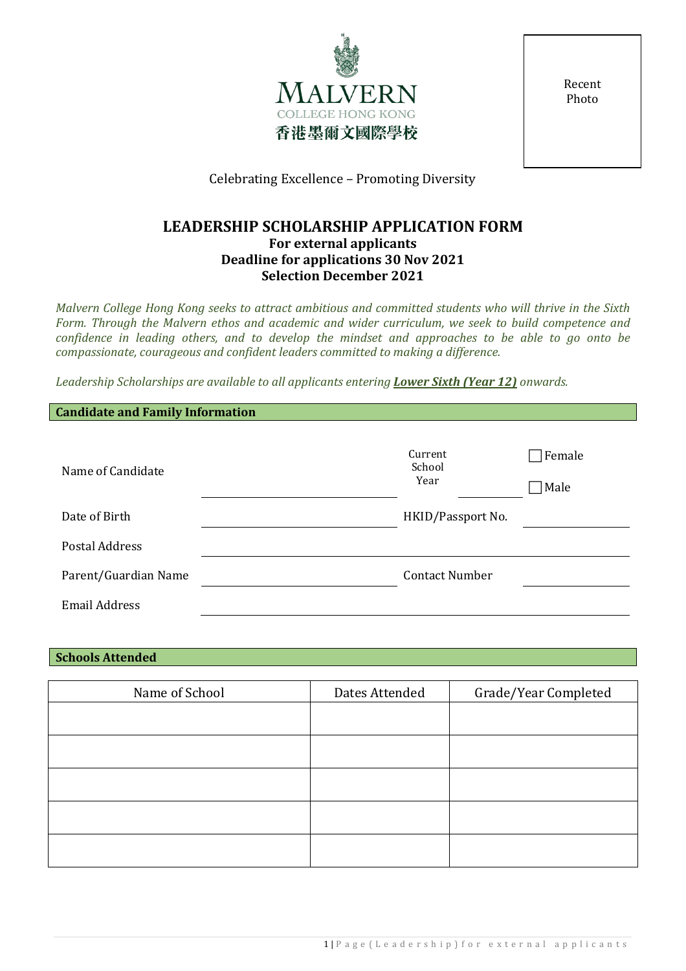

Recent Photo

Celebrating Excellence – Promoting Diversity

### **LEADERSHIP SCHOLARSHIP APPLICATION FORM For external applicants Deadline for applications 30 Nov 2021 Selection December 2021**

*Malvern College Hong Kong seeks to attract ambitious and committed students who will thrive in the Sixth Form. Through the Malvern ethos and academic and wider curriculum, we seek to build competence and confidence in leading others, and to develop the mindset and approaches to be able to go onto be compassionate, courageous and confident leaders committed to making a difference.* 

*Leadership Scholarships are available to all applicants entering Lower Sixth (Year 12) onwards.* 

| <b>Candidate and Family Information</b> |                           |                |  |  |  |
|-----------------------------------------|---------------------------|----------------|--|--|--|
| Name of Candidate                       | Current<br>School<br>Year | Female<br>Male |  |  |  |
| Date of Birth                           | HKID/Passport No.         |                |  |  |  |
| <b>Postal Address</b>                   |                           |                |  |  |  |
| Parent/Guardian Name                    | <b>Contact Number</b>     |                |  |  |  |
| <b>Email Address</b>                    |                           |                |  |  |  |

### **Schools Attended**

| Name of School | Dates Attended | Grade/Year Completed |
|----------------|----------------|----------------------|
|                |                |                      |
|                |                |                      |
|                |                |                      |
|                |                |                      |
|                |                |                      |
|                |                |                      |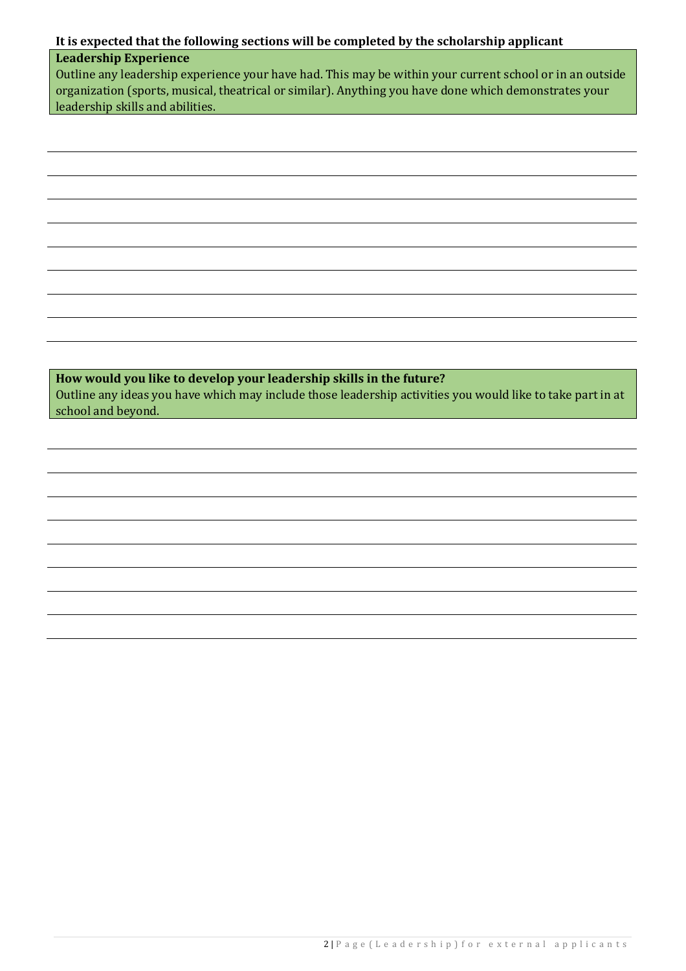## **It is expected that the following sections will be completed by the scholarship applicant**

## **Leadership Experience**

Outline any leadership experience your have had. This may be within your current school or in an outside organization (sports, musical, theatrical or similar). Anything you have done which demonstrates your leadership skills and abilities.

**How would you like to develop your leadership skills in the future?** Outline any ideas you have which may include those leadership activities you would like to take part in at school and beyond.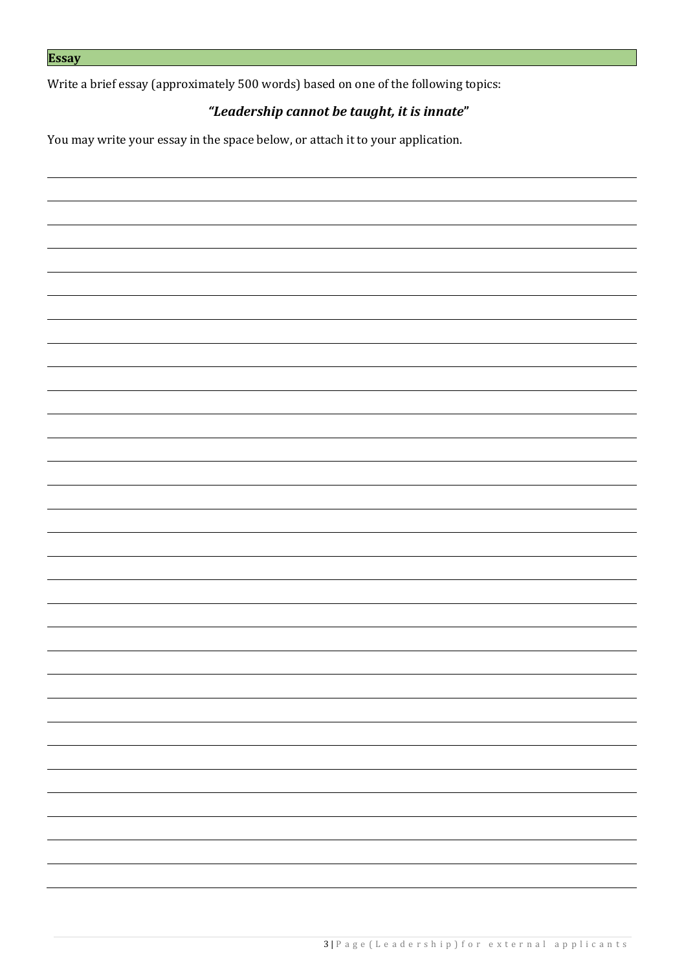Write a brief essay (approximately 500 words) based on one of the following topics:

# *"Leadership cannot be taught, it is innate***"**

You may write your essay in the space below, or attach it to your application.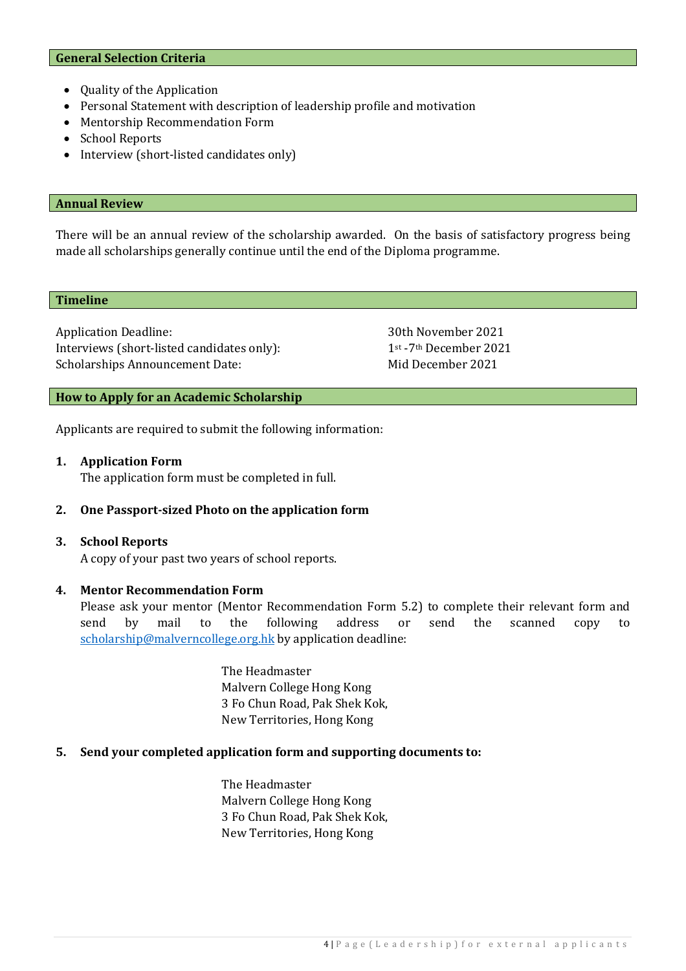#### **General Selection Criteria**

- Quality of the Application
- Personal Statement with description of leadership profile and motivation
- Mentorship Recommendation Form
- School Reports
- Interview (short-listed candidates only)

#### **Annual Review**

There will be an annual review of the scholarship awarded. On the basis of satisfactory progress being made all scholarships generally continue until the end of the Diploma programme.

#### **Timeline**

Application Deadline: 30th November 2021<br>Interviews (short-listed candidates only): 1<sup>st</sup> -7<sup>th</sup> December 2021 Interviews (short-listed candidates only): 1<sup>st</sup> -7<sup>th</sup> December 2021<br>Scholarships Announcement Date: Mid December 2021 Scholarships Announcement Date:

#### **How to Apply for an Academic Scholarship**

Applicants are required to submit the following information:

#### **1. Application Form**

The application form must be completed in full.

#### **2. One Passport-sized Photo on the application form**

#### **3. School Reports**

A copy of your past two years of school reports.

#### **4. Mentor Recommendation Form**

Please ask your mentor (Mentor Recommendation Form 5.2) to complete their relevant form and send by mail to the following address or send the scanned copy to [scholarship@malverncollege.org.hk](mailto:scholarship@malverncollege.org.hk) by application deadline:

> The Headmaster Malvern College Hong Kong 3 Fo Chun Road, Pak Shek Kok, New Territories, Hong Kong

#### **5. Send your completed application form and supporting documents to:**

The Headmaster Malvern College Hong Kong 3 Fo Chun Road, Pak Shek Kok, New Territories, Hong Kong